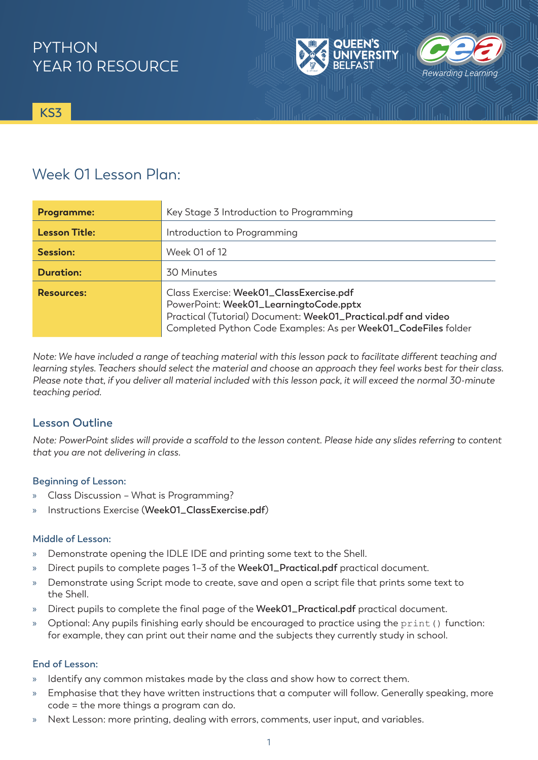# **PYTHON** YEAR 10 RESOURCE



**KS3**

# Week 01 Lesson Plan:

| <b>Programme:</b>    | Key Stage 3 Introduction to Programming                                                                                                                                                                               |
|----------------------|-----------------------------------------------------------------------------------------------------------------------------------------------------------------------------------------------------------------------|
| <b>Lesson Title:</b> | Introduction to Programming                                                                                                                                                                                           |
| <b>Session:</b>      | Week 01 of 12                                                                                                                                                                                                         |
| <b>Duration:</b>     | 30 Minutes                                                                                                                                                                                                            |
| <b>Resources:</b>    | Class Exercise: Week01_ClassExercise.pdf<br>PowerPoint: Week01_LearningtoCode.pptx<br>Practical (Tutorial) Document: Week01_Practical.pdf and video<br>Completed Python Code Examples: As per Week01_CodeFiles folder |

*Note: We have included a range of teaching material with this lesson pack to facilitate different teaching and learning styles. Teachers should select the material and choose an approach they feel works best for their class. Please note that, if you deliver all material included with this lesson pack, it will exceed the normal 30-minute teaching period.*

## **Lesson Outline**

*Note: PowerPoint slides will provide a scaffold to the lesson content. Please hide any slides referring to content that you are not delivering in class.* 

### **Beginning of Lesson:**

- » Class Discussion What is Programming?
- » Instructions Exercise (**Week01\_ClassExercise.pdf**)

#### **Middle of Lesson:**

- » Demonstrate opening the IDLE IDE and printing some text to the Shell.
- » Direct pupils to complete pages 1–3 of the **Week01\_Practical.pdf** practical document.
- » Demonstrate using Script mode to create, save and open a script file that prints some text to the Shell.
- » Direct pupils to complete the final page of the **Week01\_Practical.pdf** practical document.
- » Optional: Any pupils finishing early should be encouraged to practice using the print() function: for example, they can print out their name and the subjects they currently study in school.

#### **End of Lesson:**

- » Identify any common mistakes made by the class and show how to correct them.
- » Emphasise that they have written instructions that a computer will follow. Generally speaking, more code = the more things a program can do.
- » Next Lesson: more printing, dealing with errors, comments, user input, and variables.